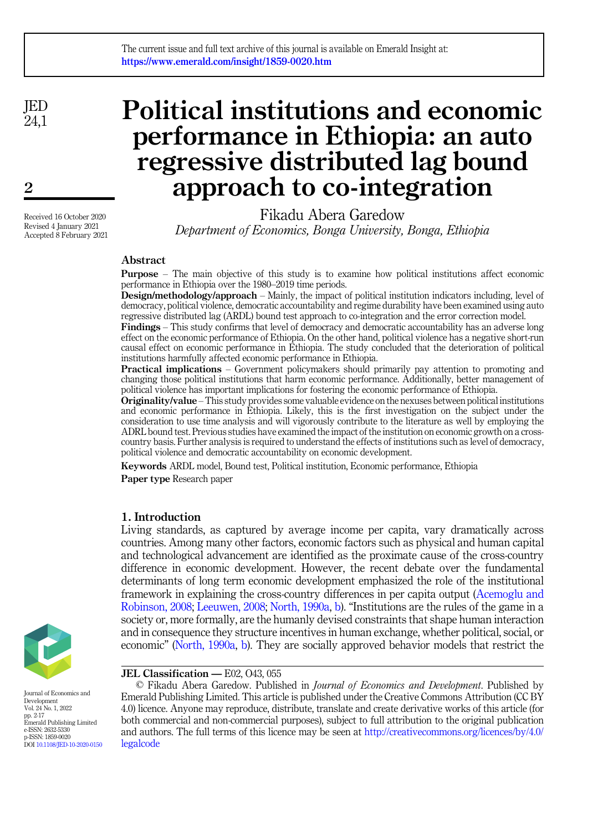JED  $241$ 

 $\mathbf{2}$ 

Received 16 October 2020 Revised 4 January 2021 Accepted 8 February 2021

# Political institutions and economic performance in Ethiopia: an auto regressive distributed lag bound approach to co-integration

Fikadu Abera Garedow Department of Economics, Bonga University, Bonga, Ethiopia

# Abstract

Purpose – The main objective of this study is to examine how political institutions affect economic performance in Ethiopia over the 1980–2019 time periods.

Design/methodology/approach – Mainly, the impact of political institution indicators including, level of democracy, political violence, democratic accountability and regime durability have been examined using auto regressive distributed lag (ARDL) bound test approach to co-integration and the error correction model.

Findings – This study confirms that level of democracy and democratic accountability has an adverse long effect on the economic performance of Ethiopia. On the other hand, political violence has a negative short-run causal effect on economic performance in Ethiopia. The study concluded that the deterioration of political institutions harmfully affected economic performance in Ethiopia.

Practical implications – Government policymakers should primarily pay attention to promoting and changing those political institutions that harm economic performance. Additionally, better management of political violence has important implications for fostering the economic performance of Ethiopia.

Originality/value –This study provides some valuable evidence on the nexuses between political institutions and economic performance in Ethiopia. Likely, this is the first investigation on the subject under the consideration to use time analysis and will vigorously contribute to the literature as well by employing the ADRL bound test. Previous studies have examined the impact of the institution on economic growth on a crosscountry basis. Further analysis is required to understand the effects of institutions such as level of democracy, political violence and democratic accountability on economic development.

Keywords ARDL model, Bound test, Political institution, Economic performance, Ethiopia

Paper type Research paper

# 1. Introduction

Living standards, as captured by average income per capita, vary dramatically across countries. Among many other factors, economic factors such as physical and human capital and technological advancement are identified as the proximate cause of the cross-country difference in economic development. However, the recent debate over the fundamental determinants of long term economic development emphasized the role of the institutional framework in explaining the cross-country differences in per capita output [\(Acemoglu and](#page-13-0) [Robinson, 2008](#page-13-0); [Leeuwen, 2008](#page-14-0); [North, 1990a,](#page-14-1) [b\)](#page-14-2). "Institutions are the rules of the game in a society or, more formally, are the humanly devised constraints that shape human interaction and in consequence they structure incentives in human exchange, whether political, social, or economic" [\(North, 1990a,](#page-14-1) [b](#page-14-2)). They are socially approved behavior models that restrict the



Journal of Economics and Development Vol. 24 No. 1, 2022 pp. 2-17 Emerald Publishing Limited e-ISSN: 2632-5330 p-ISSN: 1859-0020 DOI [10.1108/JED-10-2020-0150](https://doi.org/10.1108/JED-10-2020-0150) JEL Classification — E02, O43, 055

© Fikadu Abera Garedow. Published in Journal of Economics and Development. Published by Emerald Publishing Limited. This article is published under the Creative Commons Attribution (CC BY 4.0) licence. Anyone may reproduce, distribute, translate and create derivative works of this article (for both commercial and non-commercial purposes), subject to full attribution to the original publication and authors. The full terms of this licence may be seen at [http://creativecommons.org/licences/by/4.0/](http://creativecommons.org/licences/by/4.0/legalcode) [legalcode](http://creativecommons.org/licences/by/4.0/legalcode)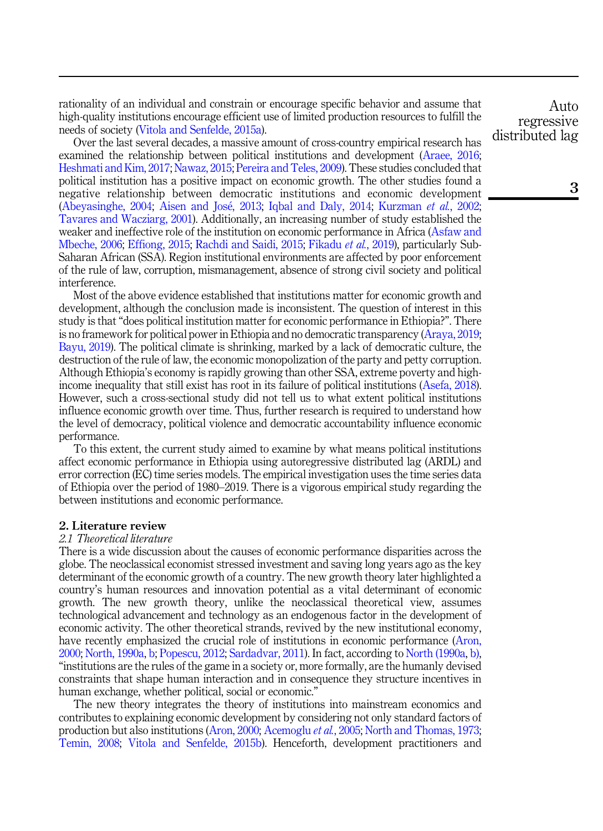rationality of an individual and constrain or encourage specific behavior and assume that high-quality institutions encourage efficient use of limited production resources to fulfill the needs of society [\(Vitola and Senfelde, 2015a](#page-14-3)).

Over the last several decades, a massive amount of cross-country empirical research has examined the relationship between political institutions and development ([Araee, 2016](#page-13-1); [Heshmati and Kim, 2017](#page-13-2); [Nawaz, 2015;](#page-14-4) [Pereira and Teles, 2009\)](#page-14-5). These studies concluded that political institution has a positive impact on economic growth. The other studies found a negative relationship between democratic institutions and economic development ([Abeyasinghe, 2004](#page-13-3); [Aisen and Jos](#page-13-4)[e, 2013](#page-13-4); [Iqbal and Daly, 2014;](#page-14-6) [Kurzman](#page-14-7) et al., 2002; [Tavares and Wacziarg, 2001\)](#page-14-8). Additionally, an increasing number of study established the weaker and ineffective role of the institution on economic performance in Africa ([Asfaw and](#page-13-5) [Mbeche, 2006](#page-13-5); [Effiong, 2015;](#page-13-6) [Rachdi and Saidi, 2015](#page-14-9); [Fikadu](#page-13-7) et al., 2019), particularly Sub-Saharan African (SSA). Region institutional environments are affected by poor enforcement of the rule of law, corruption, mismanagement, absence of strong civil society and political interference.

Most of the above evidence established that institutions matter for economic growth and development, although the conclusion made is inconsistent. The question of interest in this study is that "does political institution matter for economic performance in Ethiopia?". There is no framework for political power in Ethiopia and no democratic transparency ([Araya, 2019](#page-13-8); [Bayu, 2019\)](#page-13-9). The political climate is shrinking, marked by a lack of democratic culture, the destruction of the rule of law, the economic monopolization of the party and petty corruption. Although Ethiopia's economy is rapidly growing than other SSA, extreme poverty and highincome inequality that still exist has root in its failure of political institutions ([Asefa, 2018\)](#page-13-10). However, such a cross-sectional study did not tell us to what extent political institutions influence economic growth over time. Thus, further research is required to understand how the level of democracy, political violence and democratic accountability influence economic performance.

To this extent, the current study aimed to examine by what means political institutions affect economic performance in Ethiopia using autoregressive distributed lag (ARDL) and error correction (EC) time series models. The empirical investigation uses the time series data of Ethiopia over the period of 1980–2019. There is a vigorous empirical study regarding the between institutions and economic performance.

## 2. Literature review

#### 2.1 Theoretical literature

There is a wide discussion about the causes of economic performance disparities across the globe. The neoclassical economist stressed investment and saving long years ago as the key determinant of the economic growth of a country. The new growth theory later highlighted a country's human resources and innovation potential as a vital determinant of economic growth. The new growth theory, unlike the neoclassical theoretical view, assumes technological advancement and technology as an endogenous factor in the development of economic activity. The other theoretical strands, revived by the new institutional economy, have recently emphasized the crucial role of institutions in economic performance ([Aron,](#page-13-11) [2000;](#page-13-11) [North, 1990a,](#page-14-1) [b;](#page-14-2) [Popescu, 2012;](#page-14-10) [Sardadvar, 2011](#page-14-11)). In fact, according to [North \(1990a,](#page-14-1) [b\)](#page-14-2), "institutions are the rules of the game in a society or, more formally, are the humanly devised constraints that shape human interaction and in consequence they structure incentives in human exchange, whether political, social or economic."

The new theory integrates the theory of institutions into mainstream economics and contributes to explaining economic development by considering not only standard factors of production but also institutions ([Aron, 2000](#page-13-11); [Acemoglu](#page-13-12) et al., 2005; [North and Thomas, 1973](#page-14-12); [Temin, 2008;](#page-14-13) [Vitola and Senfelde, 2015b](#page-15-0)). Henceforth, development practitioners and

Auto regressive distributed lag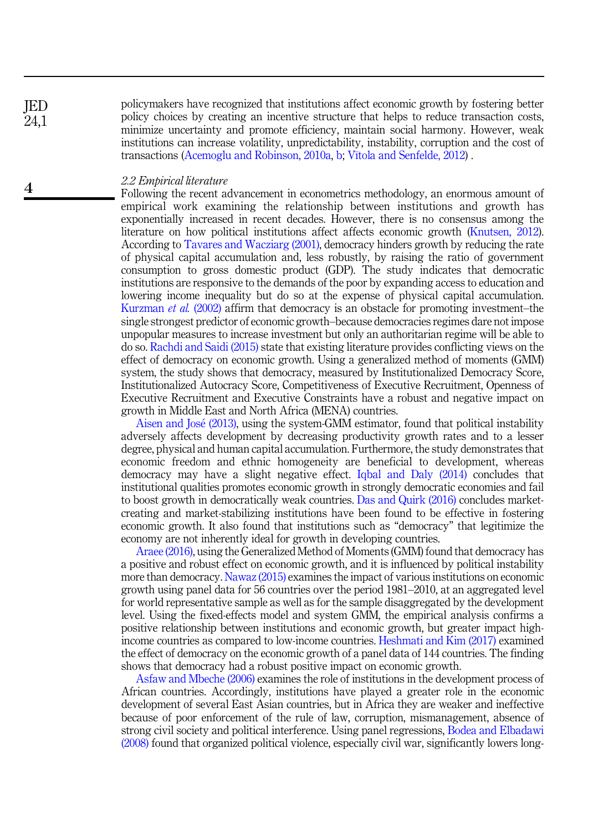policymakers have recognized that institutions affect economic growth by fostering better policy choices by creating an incentive structure that helps to reduce transaction costs, minimize uncertainty and promote efficiency, maintain social harmony. However, weak institutions can increase volatility, unpredictability, instability, corruption and the cost of transactions ([Acemoglu and Robinson, 2010a,](#page-13-13) [b](#page-13-14); [V](#page-15-1)ī[tola and Senfelde, 2012\)](#page-15-1).

## 2.2 Empirical literature

Following the recent advancement in econometrics methodology, an enormous amount of empirical work examining the relationship between institutions and growth has exponentially increased in recent decades. However, there is no consensus among the literature on how political institutions affect affects economic growth ([Knutsen, 2012\)](#page-14-14). According to [Tavares and Wacziarg \(2001\)](#page-14-8), democracy hinders growth by reducing the rate of physical capital accumulation and, less robustly, by raising the ratio of government consumption to gross domestic product (GDP). The study indicates that democratic institutions are responsive to the demands of the poor by expanding access to education and lowering income inequality but do so at the expense of physical capital accumulation. [Kurzman](#page-14-7) *et al.* (2002) affirm that democracy is an obstacle for promoting investment–the single strongest predictor of economic growth–because democracies regimes dare not impose unpopular measures to increase investment but only an authoritarian regime will be able to do so. [Rachdi and Saidi \(2015\)](#page-14-9) state that existing literature provides conflicting views on the effect of democracy on economic growth. Using a generalized method of moments (GMM) system, the study shows that democracy, measured by Institutionalized Democracy Score, Institutionalized Autocracy Score, Competitiveness of Executive Recruitment, Openness of Executive Recruitment and Executive Constraints have a robust and negative impact on growth in Middle East and North Africa (MENA) countries.

[Aisen and Jos](#page-13-4)[e \(2013\)](#page-13-4), using the system-GMM estimator, found that political instability adversely affects development by decreasing productivity growth rates and to a lesser degree, physical and human capital accumulation. Furthermore, the study demonstrates that economic freedom and ethnic homogeneity are beneficial to development, whereas democracy may have a slight negative effect. [Iqbal and Daly \(2014\)](#page-14-6) concludes that institutional qualities promotes economic growth in strongly democratic economies and fail to boost growth in democratically weak countries. [Das and Quirk \(2016\)](#page-13-15) concludes marketcreating and market-stabilizing institutions have been found to be effective in fostering economic growth. It also found that institutions such as "democracy" that legitimize the economy are not inherently ideal for growth in developing countries.

[Araee \(2016\),](#page-13-1) using the Generalized Method of Moments (GMM) found that democracy has a positive and robust effect on economic growth, and it is influenced by political instability more than democracy. [Nawaz \(2015\)](#page-14-4) examines the impact of various institutions on economic growth using panel data for 56 countries over the period 1981–2010, at an aggregated level for world representative sample as well as for the sample disaggregated by the development level. Using the fixed-effects model and system GMM, the empirical analysis confirms a positive relationship between institutions and economic growth, but greater impact highincome countries as compared to low-income countries. [Heshmati and Kim \(2017\)](#page-13-2) examined the effect of democracy on the economic growth of a panel data of 144 countries. The finding shows that democracy had a robust positive impact on economic growth.

[Asfaw and Mbeche \(2006\)](#page-13-5) examines the role of institutions in the development process of African countries. Accordingly, institutions have played a greater role in the economic development of several East Asian countries, but in Africa they are weaker and ineffective because of poor enforcement of the rule of law, corruption, mismanagement, absence of strong civil society and political interference. Using panel regressions, [Bodea and Elbadawi](#page-13-16) [\(2008\)](#page-13-16) found that organized political violence, especially civil war, significantly lowers long-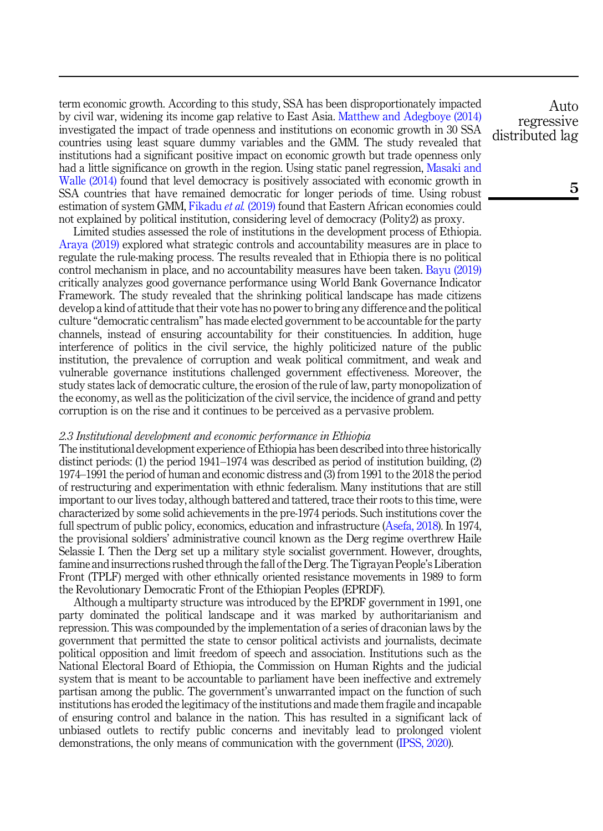term economic growth. According to this study, SSA has been disproportionately impacted by civil war, widening its income gap relative to East Asia. [Matthew and Adegboye \(2014\)](#page-14-15) investigated the impact of trade openness and institutions on economic growth in 30 SSA countries using least square dummy variables and the GMM. The study revealed that institutions had a significant positive impact on economic growth but trade openness only had a little significance on growth in the region. Using static panel regression, [Masaki and](#page-14-16) [Walle \(2014\)](#page-14-16) found that level democracy is positively associated with economic growth in SSA countries that have remained democratic for longer periods of time. Using robust estimation of system GMM, [Fikadu](#page-13-7) et al. (2019) found that Eastern African economies could not explained by political institution, considering level of democracy (Polity2) as proxy.

Limited studies assessed the role of institutions in the development process of Ethiopia. [Araya \(2019\)](#page-13-8) explored what strategic controls and accountability measures are in place to regulate the rule-making process. The results revealed that in Ethiopia there is no political control mechanism in place, and no accountability measures have been taken. [Bayu \(2019\)](#page-13-9) critically analyzes good governance performance using World Bank Governance Indicator Framework. The study revealed that the shrinking political landscape has made citizens develop a kind of attitude that their vote has no power to bring any difference and the political culture "democratic centralism" has made elected government to be accountable for the party channels, instead of ensuring accountability for their constituencies. In addition, huge interference of politics in the civil service, the highly politicized nature of the public institution, the prevalence of corruption and weak political commitment, and weak and vulnerable governance institutions challenged government effectiveness. Moreover, the study states lack of democratic culture, the erosion of the rule of law, party monopolization of the economy, as well as the politicization of the civil service, the incidence of grand and petty corruption is on the rise and it continues to be perceived as a pervasive problem.

#### 2.3 Institutional development and economic performance in Ethiopia

The institutional development experience of Ethiopia has been described into three historically distinct periods: (1) the period 1941–1974 was described as period of institution building, (2) 1974–1991 the period of human and economic distress and (3) from 1991 to the 2018 the period of restructuring and experimentation with ethnic federalism. Many institutions that are still important to our lives today, although battered and tattered, trace their roots to this time, were characterized by some solid achievements in the pre-1974 periods. Such institutions cover the full spectrum of public policy, economics, education and infrastructure [\(Asefa, 2018](#page-13-10)). In 1974, the provisional soldiers' administrative council known as the Derg regime overthrew Haile Selassie I. Then the Derg set up a military style socialist government. However, droughts, famine and insurrections rushed through the fall of the Derg. The Tigrayan People's Liberation Front (TPLF) merged with other ethnically oriented resistance movements in 1989 to form the Revolutionary Democratic Front of the Ethiopian Peoples (EPRDF).

Although a multiparty structure was introduced by the EPRDF government in 1991, one party dominated the political landscape and it was marked by authoritarianism and repression. This was compounded by the implementation of a series of draconian laws by the government that permitted the state to censor political activists and journalists, decimate political opposition and limit freedom of speech and association. Institutions such as the National Electoral Board of Ethiopia, the Commission on Human Rights and the judicial system that is meant to be accountable to parliament have been ineffective and extremely partisan among the public. The government's unwarranted impact on the function of such institutions has eroded the legitimacy of the institutions and made them fragile and incapable of ensuring control and balance in the nation. This has resulted in a significant lack of unbiased outlets to rectify public concerns and inevitably lead to prolonged violent demonstrations, the only means of communication with the government ([IPSS, 2020\)](#page-13-17).

Auto regressive distributed lag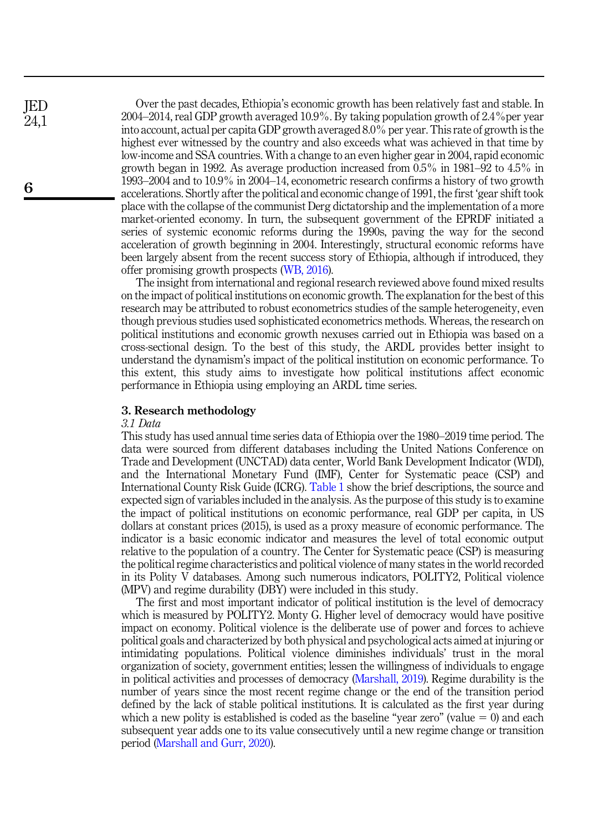Over the past decades, Ethiopia's economic growth has been relatively fast and stable. In 2004–2014, real GDP growth averaged 10.9%. By taking population growth of  $2.4\%$  per year into account, actual per capita GDP growth averaged 8.0% per year. This rate of growth is the highest ever witnessed by the country and also exceeds what was achieved in that time by low-income and SSA countries. With a change to an even higher gear in 2004, rapid economic growth began in 1992. As average production increased from 0.5% in 1981–92 to 4.5% in 1993–2004 and to 10.9% in 2004–14, econometric research confirms a history of two growth accelerations. Shortly after the political and economic change of 1991, the first 'gear shift took place with the collapse of the communist Derg dictatorship and the implementation of a more market-oriented economy. In turn, the subsequent government of the EPRDF initiated a series of systemic economic reforms during the 1990s, paving the way for the second acceleration of growth beginning in 2004. Interestingly, structural economic reforms have been largely absent from the recent success story of Ethiopia, although if introduced, they offer promising growth prospects ([WB, 2016\)](#page-15-2).

The insight from international and regional research reviewed above found mixed results on the impact of political institutions on economic growth. The explanation for the best of this research may be attributed to robust econometrics studies of the sample heterogeneity, even though previous studies used sophisticated econometrics methods. Whereas, the research on political institutions and economic growth nexuses carried out in Ethiopia was based on a cross-sectional design. To the best of this study, the ARDL provides better insight to understand the dynamism's impact of the political institution on economic performance. To this extent, this study aims to investigate how political institutions affect economic performance in Ethiopia using employing an ARDL time series.

#### 3. Research methodology

#### 3.1 Data

This study has used annual time series data of Ethiopia over the 1980–2019 time period. The data were sourced from different databases including the United Nations Conference on Trade and Development (UNCTAD) data center, World Bank Development Indicator (WDI), and the International Monetary Fund (IMF), Center for Systematic peace (CSP) and International County Risk Guide (ICRG). [Table 1](#page-5-0) show the brief descriptions, the source and expected sign of variables included in the analysis. As the purpose of this study is to examine the impact of political institutions on economic performance, real GDP per capita, in US dollars at constant prices (2015), is used as a proxy measure of economic performance. The indicator is a basic economic indicator and measures the level of total economic output relative to the population of a country. The Center for Systematic peace (CSP) is measuring the political regime characteristics and political violence of many states in the world recorded in its Polity V databases. Among such numerous indicators, POLITY2, Political violence (MPV) and regime durability (DBY) were included in this study.

The first and most important indicator of political institution is the level of democracy which is measured by POLITY2. Monty G. Higher level of democracy would have positive impact on economy. Political violence is the deliberate use of power and forces to achieve political goals and characterized by both physical and psychological acts aimed at injuring or intimidating populations. Political violence diminishes individuals' trust in the moral organization of society, government entities; lessen the willingness of individuals to engage in political activities and processes of democracy ([Marshall, 2019](#page-14-17)). Regime durability is the number of years since the most recent regime change or the end of the transition period defined by the lack of stable political institutions. It is calculated as the first year during which a new polity is established is coded as the baseline "year zero" (value  $= 0$ ) and each subsequent year adds one to its value consecutively until a new regime change or transition period [\(Marshall and Gurr, 2020](#page-14-18)).

JED 24,1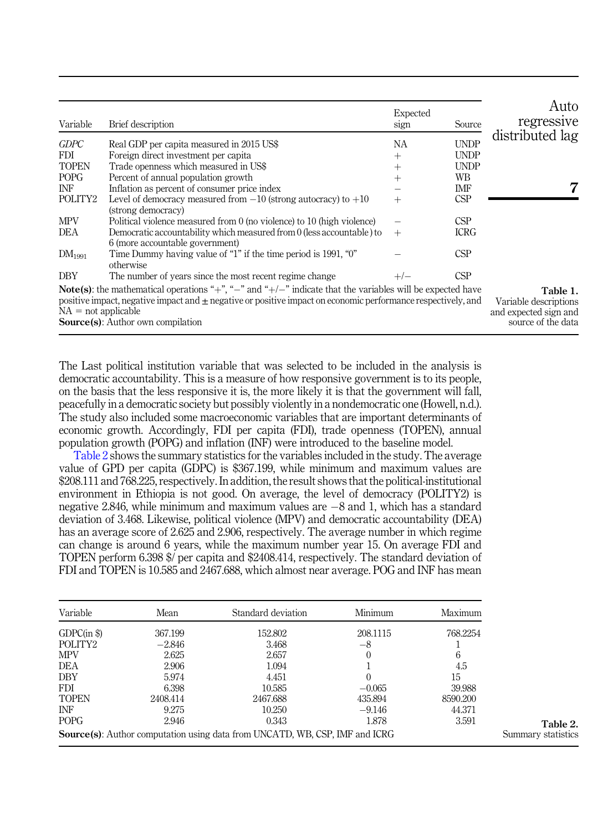<span id="page-5-0"></span>

| Variable              | Brief description                                                                                                                                                                                                                                                                  | Expected<br>sign | Source      | Auto<br>regressive                                                               |
|-----------------------|------------------------------------------------------------------------------------------------------------------------------------------------------------------------------------------------------------------------------------------------------------------------------------|------------------|-------------|----------------------------------------------------------------------------------|
| <b>GDPC</b>           | Real GDP per capita measured in 2015 US\$                                                                                                                                                                                                                                          | NА               | <b>UNDP</b> | distributed lag                                                                  |
| <b>FDI</b>            | Foreign direct investment per capita                                                                                                                                                                                                                                               | $^{+}$           | <b>UNDP</b> |                                                                                  |
| <b>TOPEN</b>          | Trade openness which measured in US\$                                                                                                                                                                                                                                              | $^{+}$           | <b>UNDP</b> |                                                                                  |
| <b>POPG</b>           | Percent of annual population growth                                                                                                                                                                                                                                                | $+$              | WВ          |                                                                                  |
| INF                   | Inflation as percent of consumer price index                                                                                                                                                                                                                                       |                  | IMF         |                                                                                  |
| POLITY <sub>2</sub>   | Level of democracy measured from $-10$ (strong autocracy) to $+10$<br>(strong democracy)                                                                                                                                                                                           | $^{+}$           | CSP         |                                                                                  |
| <b>MPV</b>            | Political violence measured from 0 (no violence) to 10 (high violence)                                                                                                                                                                                                             |                  | <b>CSP</b>  |                                                                                  |
| DEA                   | Democratic accountability which measured from 0 (less accountable) to<br>6 (more accountable government)                                                                                                                                                                           | $+$              | <b>ICRG</b> |                                                                                  |
| $DM_{1991}$           | Time Dummy having value of "1" if the time period is 1991, "0"<br>otherwise                                                                                                                                                                                                        |                  | CSP         |                                                                                  |
| <b>DBY</b>            | The number of years since the most recent regime change                                                                                                                                                                                                                            |                  | CSP         |                                                                                  |
| $NA = not applicable$ | <b>Note(s)</b> : the mathematical operations "+", "-" and "+/-" indicate that the variables will be expected have<br>positive impact, negative impact and $\pm$ negative or positive impact on economic performance respectively, and<br><b>Source</b> (s): Author own compilation |                  |             | Table 1.<br>Variable descriptions<br>and expected sign and<br>source of the data |

The Last political institution variable that was selected to be included in the analysis is democratic accountability. This is a measure of how responsive government is to its people, on the basis that the less responsive it is, the more likely it is that the government will fall, peacefully in a democratic society but possibly violently in a nondemocratic one (Howell, n.d.). The study also included some macroeconomic variables that are important determinants of economic growth. Accordingly, FDI per capita (FDI), trade openness (TOPEN), annual population growth (POPG) and inflation (INF) were introduced to the baseline model.

Table 2 shows the summary statistics for the variables included in the study. The average value of GPD per capita (GDPC) is \$367.199, while minimum and maximum values are \$208.111 and 768.225, respectively. In addition, the result shows that the political-institutional environment in Ethiopia is not good. On average, the level of democracy (POLITY2) is negative 2.846, while minimum and maximum values are  $-8$  and 1, which has a standard deviation of 3.468. Likewise, political violence (MPV) and democratic accountability (DEA) has an average score of 2.625 and 2.906, respectively. The average number in which regime can change is around 6 years, while the maximum number year 15. On average FDI and TOPEN perform 6.398 \$/ per capita and \$2408.414, respectively. The standard deviation of FDI and TOPEN is 10.585 and 2467.688, which almost near average. POG and INF has mean

| Variable            | Mean     | Standard deviation                                                                 | Minimum  | Maximum  |
|---------------------|----------|------------------------------------------------------------------------------------|----------|----------|
| GDPC(in \$)         | 367.199  | 152,802                                                                            | 208.1115 | 768.2254 |
| POLITY <sub>2</sub> | $-2.846$ | 3.468                                                                              | -8       |          |
| <b>MPV</b>          | 2.625    | 2.657                                                                              | 0        | 6        |
| DEA                 | 2.906    | 1.094                                                                              |          | 4.5      |
| DBY                 | 5.974    | 4.451                                                                              |          | 15       |
| <b>FDI</b>          | 6.398    | 10.585                                                                             | $-0.065$ | 39.988   |
| <b>TOPEN</b>        | 2408.414 | 2467.688                                                                           | 435.894  | 8590.200 |
| <b>INF</b>          | 9.275    | 10.250                                                                             | $-9.146$ | 44.371   |
| <b>POPG</b>         | 2.946    | 0.343                                                                              | 1.878    | 3.591    |
|                     |          | <b>Source(s):</b> Author computation using data from UNCATD, WB, CSP, IMF and ICRG |          |          |

Table 2. Summary statistics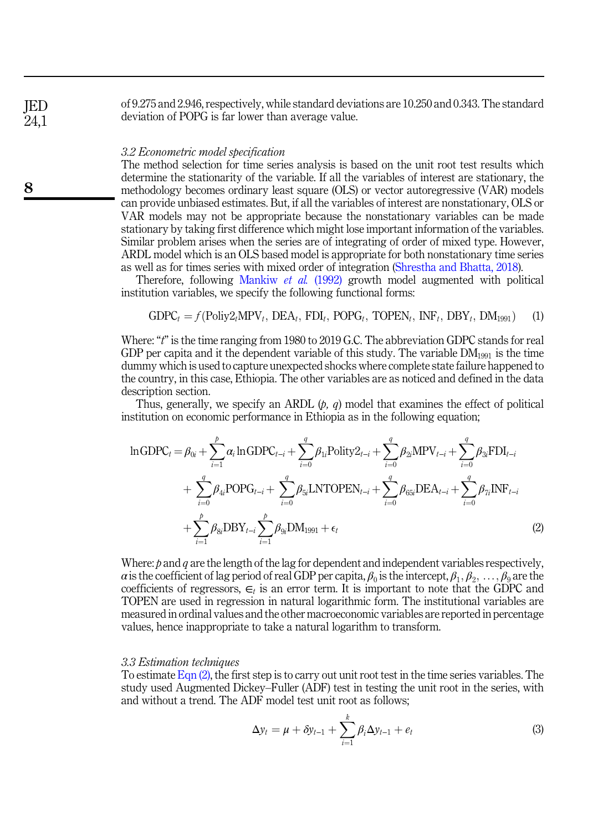of 9.275 and 2.946, respectively, while standard deviations are 10.250 and 0.343. The standard deviation of POPG is far lower than average value.

#### 3.2 Econometric model specification

The method selection for time series analysis is based on the unit root test results which determine the stationarity of the variable. If all the variables of interest are stationary, the methodology becomes ordinary least square (OLS) or vector autoregressive (VAR) models can provide unbiased estimates. But, if all the variables of interest are nonstationary, OLS or VAR models may not be appropriate because the nonstationary variables can be made stationary by taking first difference which might lose important information of the variables. Similar problem arises when the series are of integrating of order of mixed type. However, ARDL model which is an OLS based model is appropriate for both nonstationary time series as well as for times series with mixed order of integration ([Shrestha and Bhatta, 2018\)](#page-14-19).

Therefore, following [Mankiw](#page-14-20) et al. (1992) growth model augmented with political institution variables, we specify the following functional forms:

$$
GDPC_t = f(Poliy2_t \text{MPV}_t, DEA_t, FDI_t, POPG_t, TOPEN_t, INF_t, DBY_t, DM_{1991}) \tag{1}
$$

Where: "t" is the time ranging from 1980 to 2019 G.C. The abbreviation GDPC stands for real GDP per capita and it the dependent variable of this study. The variable  $DM_{1991}$  is the time dummy which is used to capture unexpected shocks where complete state failure happened to the country, in this case, Ethiopia. The other variables are as noticed and defined in the data description section.

<span id="page-6-0"></span>Thus, generally, we specify an ARDL  $(p, q)$  model that examines the effect of political institution on economic performance in Ethiopia as in the following equation;

$$
\ln GDPC_{t} = \beta_{0i} + \sum_{i=1}^{p} \alpha_{i} \ln GDPC_{t-i} + \sum_{i=0}^{q} \beta_{1i} \text{Polity2}_{t-i} + \sum_{i=0}^{q} \beta_{2i} \text{MPV}_{t-i} + \sum_{i=0}^{q} \beta_{3i} \text{FDI}_{t-i} + \sum_{i=0}^{q} \beta_{4i} \text{POPG}_{t-i} + \sum_{i=0}^{q} \beta_{5i} \text{LNTOPEN}_{t-i} + \sum_{i=0}^{q} \beta_{65i} \text{DEA}_{t-i} + \sum_{i=0}^{q} \beta_{7i} \text{INF}_{t-i} + \sum_{i=1}^{p} \beta_{8i} \text{DBY}_{t-i} \sum_{i=1}^{p} \beta_{9i} \text{DM}_{1991} + \epsilon_{t}
$$
\n(2)

Where:  $p$  and  $q$  are the length of the lag for dependent and independent variables respectively, a is the coefficient of lag period of real GDP per capita,  $\beta_0$  is the intercept,  $\beta_1, \beta_2, \ldots, \beta_9$  are the coefficients of regressors,  $\epsilon_t$  is an error term. It is important to note that the GDPC and TOPEN are used in regression in natural logarithmic form. The institutional variables are measured in ordinal values and the other macroeconomic variables are reported in percentage values, hence inappropriate to take a natural logarithm to transform.

#### 3.3 Estimation techniques

To estimate [Eqn \(2\)](#page-6-0), the first step is to carry out unit root test in the time series variables. The study used Augmented Dickey–Fuller (ADF) test in testing the unit root in the series, with and without a trend. The ADF model test unit root as follows;

$$
\Delta y_t = \mu + \delta y_{t-1} + \sum_{i=1}^k \beta_i \Delta y_{t-1} + e_t \tag{3}
$$

JED 24,1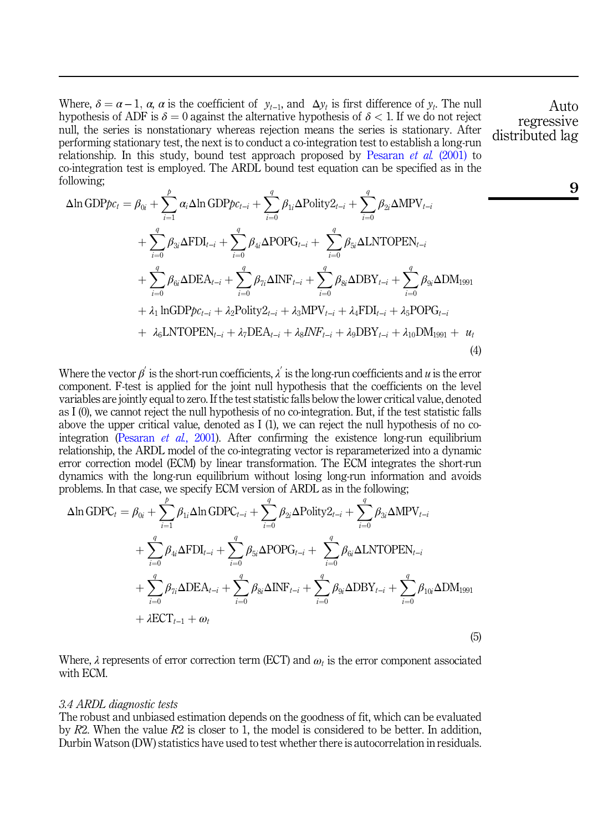Where,  $\delta = \alpha - 1$ ,  $\alpha$ ,  $\alpha$  is the coefficient of  $y_{t-1}$ , and  $\Delta y_t$  is first difference of  $y_t$ . The null hypothesis of ADF is  $\delta = 0$  against the alternative hypothesis of  $\delta < 1$ . If we do not reject null, the series is nonstationary whereas rejection means the series is stationary. After performing stationary test, the next is to conduct a co-integration test to establish a long-run relationship. In this study, bound test approach proposed by [Pesaran](#page-14-21) et al. (2001) to co-integration test is employed. The ARDL bound test equation can be specified as in the following;

$$
\Delta \ln GDP_{\mathcal{P}C_{t}} = \beta_{0i} + \sum_{i=1}^{p} \alpha_{i} \Delta \ln GDP_{\mathcal{P}C_{t-i}} + \sum_{i=0}^{q} \beta_{1i} \Delta Polity_{t-i} + \sum_{i=0}^{q} \beta_{2i} \Delta MPV_{t-i} \n+ \sum_{i=0}^{q} \beta_{3i} \Delta FDI_{t-i} + \sum_{i=0}^{q} \beta_{4i} \Delta POPG_{t-i} + \sum_{i=0}^{q} \beta_{5i} \Delta LNTOPEN_{t-i} \n+ \sum_{i=0}^{q} \beta_{6i} \Delta DEA_{t-i} + \sum_{i=0}^{q} \beta_{7i} \Delta INF_{t-i} + \sum_{i=0}^{q} \beta_{8i} \Delta DBY_{t-i} + \sum_{i=0}^{q} \beta_{9i} \Delta DM_{1991} \n+ \lambda_{1} \ln GDP_{\mathcal{P}C_{t-i}} + \lambda_{2} \text{Polity}_{t-i} + \lambda_{3} \text{MPV}_{t-i} + \lambda_{4} \text{FDI}_{t-i} + \lambda_{5} \text{POPG}_{t-i} \n+ \lambda_{6} \text{LNTOPEN}_{t-i} + \lambda_{7} \text{DEA}_{t-i} + \lambda_{8} \text{INF}_{t-i} + \lambda_{9} \text{DBY}_{t-i} + \lambda_{10} \text{DM}_{1991} + u_{t}
$$
\n(4)

Where the vector  $\beta$  is the short-run coefficients,  $\lambda$  is the long-run coefficients and u is the error component. F-test is applied for the joint null hypothesis that the coefficients on the level variables are jointly equal to zero. If the test statistic falls below the lower critical value, denoted as I (0), we cannot reject the null hypothesis of no co-integration. But, if the test statistic falls above the upper critical value, denoted as I (1), we can reject the null hypothesis of no co-integration ([Pesaran](#page-14-21) et al., 2001). After confirming the existence long-run equilibrium relationship, the ARDL model of the co-integrating vector is reparameterized into a dynamic error correction model (ECM) by linear transformation. The ECM integrates the short-run dynamics with the long-run equilibrium without losing long-run information and avoids problems. In that case, we specify ECM version of ARDL as in the following;

$$
\Delta \ln \text{GDPC}_{t} = \beta_{0i} + \sum_{i=1}^{p} \beta_{1i} \Delta \ln \text{GDPC}_{t-i} + \sum_{i=0}^{q} \beta_{2i} \Delta \text{Poly2}_{t-i} + \sum_{i=0}^{q} \beta_{3i} \Delta \text{MPV}_{t-i} \n+ \sum_{i=0}^{q} \beta_{4i} \Delta \text{FDI}_{t-i} + \sum_{i=0}^{q} \beta_{5i} \Delta \text{POPG}_{t-i} + \sum_{i=0}^{q} \beta_{6i} \Delta \text{LNTOPEN}_{t-i} \n+ \sum_{i=0}^{q} \beta_{7i} \Delta \text{DEA}_{t-i} + \sum_{i=0}^{q} \beta_{8i} \Delta \text{INF}_{t-i} + \sum_{i=0}^{q} \beta_{9i} \Delta \text{DBY}_{t-i} + \sum_{i=0}^{q} \beta_{10i} \Delta \text{DM}_{1991} \n+ \lambda \text{ECT}_{t-1} + \omega_{t}
$$
\n(5)

Where,  $\lambda$  represents of error correction term (ECT) and  $\omega_t$  is the error component associated with ECM.

#### 3.4 ARDL diagnostic tests

The robust and unbiased estimation depends on the goodness of fit, which can be evaluated by  $R2$ . When the value  $R2$  is closer to 1, the model is considered to be better. In addition, Durbin Watson (DW) statistics have used to test whether there is autocorrelation in residuals.

Auto regressive distributed lag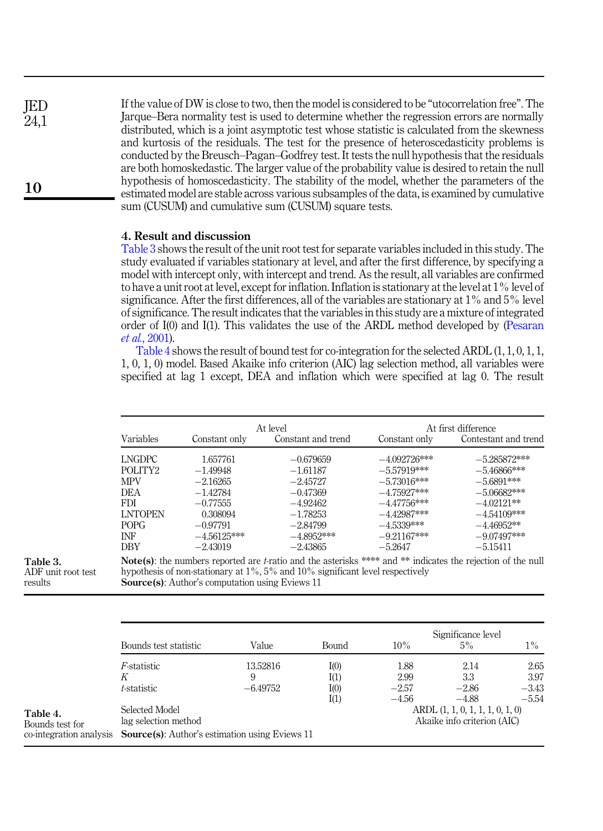If the value of DW is close to two, then the model is considered to be "utocorrelation free". The Jarque–Bera normality test is used to determine whether the regression errors are normally distributed, which is a joint asymptotic test whose statistic is calculated from the skewness and kurtosis of the residuals. The test for the presence of heteroscedasticity problems is conducted by the Breusch–Pagan–Godfrey test. It tests the null hypothesis that the residuals are both homoskedastic. The larger value of the probability value is desired to retain the null hypothesis of homoscedasticity. The stability of the model, whether the parameters of the estimated model are stable across various subsamples of the data, is examined by cumulative sum (CUSUM) and cumulative sum (CUSUM) square tests. JED  $24.1$ 

## 4. Result and discussion

Table 3 shows the result of the unit root test for separate variables included in this study. The study evaluated if variables stationary at level, and after the first difference, by specifying a model with intercept only, with intercept and trend. As the result, all variables are confirmed to have a unit root at level, except for inflation. Inflation is stationary at the level at 1% level of significance. After the first differences, all of the variables are stationary at 1% and 5% level of significance. The result indicates that the variables in this study are a mixture of integrated order of I(0) and I(1). This validates the use of the ARDL method developed by [\(Pesaran](#page-14-21) et al.[, 2001\)](#page-14-21).

Table 4 shows the result of bound test for co-integration for the selected ARDL (1, 1, 0, 1, 1, 1, 0, 1, 0) model. Based Akaike info criterion (AIC) lag selection method, all variables were specified at lag 1 except, DEA and inflation which were specified at lag 0. The result

|                     |               | At level           |                | At first difference  |
|---------------------|---------------|--------------------|----------------|----------------------|
| Variables           | Constant only | Constant and trend | Constant only  | Contestant and trend |
| LNGDPC              | 1.657761      | $-0.679659$        | $-4.092726***$ | $-5.285872***$       |
| POLITY <sub>2</sub> | $-1.49948$    | $-1.61187$         | $-5.57919***$  | $-5.46866***$        |
| <b>MPV</b>          | $-2.16265$    | $-2.45727$         | $-5.73016***$  | $-5.6891***$         |
| DEA.                | $-1.42784$    | $-0.47369$         | $-4.75927***$  | $-5.06682***$        |
| <b>FDI</b>          | $-0.77555$    | $-4.92462$         | $-4.47756***$  | $-4.02121**$         |
| <b>LNTOPEN</b>      | 0.308094      | $-1.78253$         | $-4.42987***$  | $-4.54109***$        |
| POPG                | $-0.97791$    | $-2.84799$         | $-4.5339***$   | $-4.46952**$         |
| INF                 | $-4.56125***$ | $-4.8952***$       | $-9.21167***$  | $-9.07497***$        |
| <b>DBY</b>          | $-2.43019$    | $-2.43865$         | $-5.2647$      | $-5.15411$           |

Table 3. ADF unit root test results

10

hypothesis of non-stationary at 1%, 5% and 10% significant level respectively Source(s): Author's computation using Eviews 11

|                         | Bounds test statistic                                 | Value      | Bound | 10%     | Significance level<br>5%             | $1\%$   |
|-------------------------|-------------------------------------------------------|------------|-------|---------|--------------------------------------|---------|
|                         | <i>F</i> -statistic                                   | 13.52816   | I(0)  | 1.88    | 2.14                                 | 2.65    |
|                         | K                                                     | 9          | I(1)  | 2.99    | 3.3                                  | 3.97    |
|                         | t-statistic                                           | $-6.49752$ | I(0)  | $-2.57$ | $-2.86$                              | $-3.43$ |
|                         |                                                       |            | I(1)  | $-4.56$ | $-4.88$                              | $-5.54$ |
| Table 4.                | Selected Model                                        |            |       |         | $ARDL$ $(1, 1, 0, 1, 1, 1, 0, 1, 0)$ |         |
| Bounds test for         | lag selection method                                  |            |       |         | Akaike info criterion (AIC)          |         |
| co-integration analysis | <b>Source(s):</b> Author's estimation using Eviews 11 |            |       |         |                                      |         |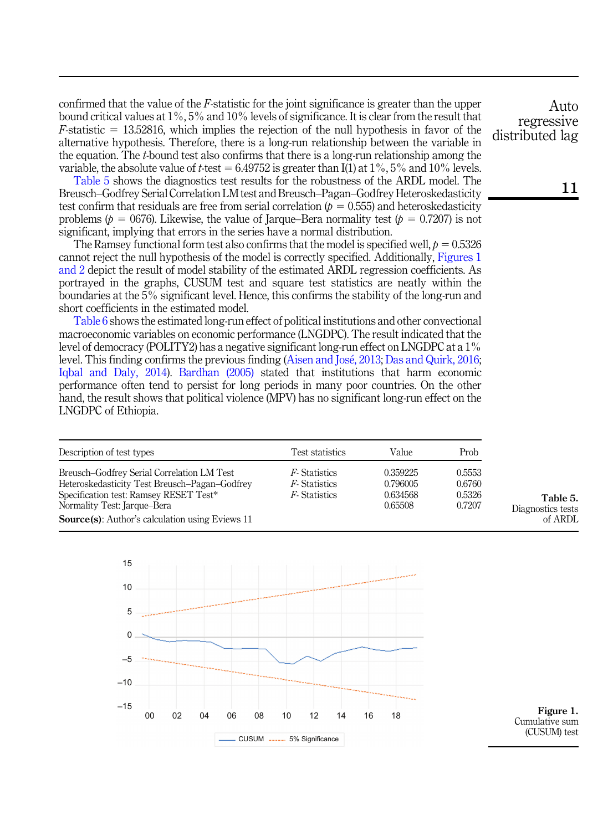confirmed that the value of the  $F$ -statistic for the joint significance is greater than the upper bound critical values at 1%, 5% and 10% levels of significance. It is clear from the result that  $F$ -statistic = 13.52816, which implies the rejection of the null hypothesis in favor of the alternative hypothesis. Therefore, there is a long-run relationship between the variable in the equation. The  $t$ -bound test also confirms that there is a long-run relationship among the variable, the absolute value of t-test =  $6.49752$  is greater than I(1) at 1%, 5% and 10% levels.

Table 5 shows the diagnostics test results for the robustness of the ARDL model. The Breusch–Godfrey Serial Correlation LM test and Breusch–Pagan–Godfrey Heteroskedasticity test confirm that residuals are free from serial correlation ( $p = 0.555$ ) and heteroskedasticity problems ( $p = 0676$ ). Likewise, the value of Jarque–Bera normality test ( $p = 0.7207$ ) is not significant, implying that errors in the series have a normal distribution.

The Ramsey functional form test also confirms that the model is specified well,  $p = 0.5326$ cannot reject the null hypothesis of the model is correctly specified. Additionally, Figures 1 and 2 depict the result of model stability of the estimated ARDL regression coefficients. As portrayed in the graphs, CUSUM test and square test statistics are neatly within the boundaries at the 5% significant level. Hence, this confirms the stability of the long-run and short coefficients in the estimated model.

[Table 6](#page-10-0) shows the estimated long-run effect of political institutions and other convectional macroeconomic variables on economic performance (LNGDPC). The result indicated that the level of democracy (POLITY2) has a negative significant long-run effect on LNGDPC at a 1% level. This finding confirms the previous finding [\(Aisen and Jos](#page-13-4)[e, 2013;](#page-13-4) [Das and Quirk, 2016](#page-13-15); [Iqbal and Daly, 2014\)](#page-14-6). [Bardhan \(2005\)](#page-13-18) stated that institutions that harm economic performance often tend to persist for long periods in many poor countries. On the other hand, the result shows that political violence (MPV) has no significant long-run effect on the LNGDPC of Ethiopia.

| Description of test types                                                                                                                                                                                                       | Test statistics                                                     | Value                                       | Prob                                 |
|---------------------------------------------------------------------------------------------------------------------------------------------------------------------------------------------------------------------------------|---------------------------------------------------------------------|---------------------------------------------|--------------------------------------|
| Breusch-Godfrey Serial Correlation LM Test<br>Heteroskedasticity Test Breusch-Pagan-Godfrey<br>Specification test: Ramsey RESET Test*<br>Normality Test: Jarque-Bera<br><b>Source</b> (s): Author's calculation using Eviews 11 | <i>F</i> Statistics<br><i>F</i> -Statistics<br><i>F</i> -Statistics | 0.359225<br>0.796005<br>0.634568<br>0.65508 | 0.5553<br>0.6760<br>0.5326<br>0.7207 |



Figure 1. Cumulative sum (CUSUM) test

Table 5. Diagnostics tests of ARDL

Auto regressive distributed lag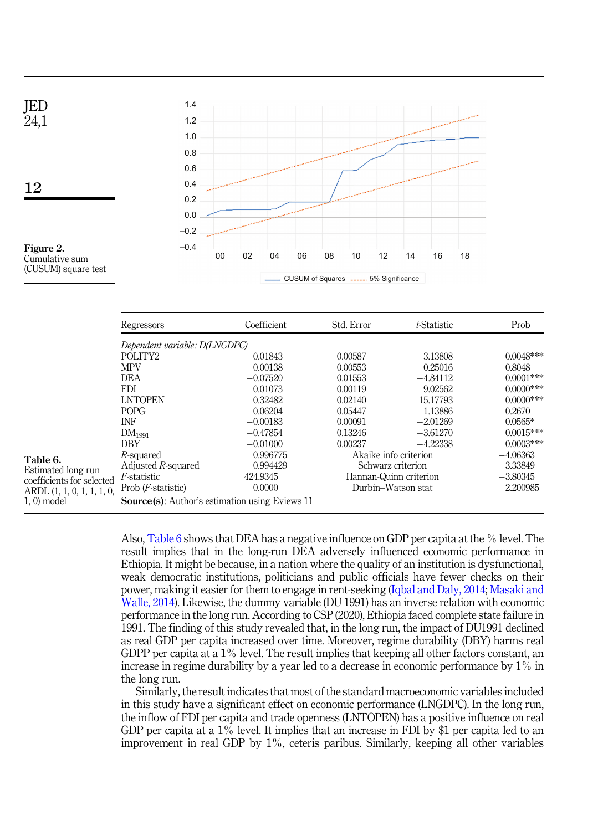<span id="page-10-0"></span>

|                                | Regressors                                             | Coefficient | Std. Error             | t-Statistic | Prob         |
|--------------------------------|--------------------------------------------------------|-------------|------------------------|-------------|--------------|
|                                | Dependent variable: D(LNGDPC)                          |             |                        |             |              |
|                                | POLITY <sub>2</sub>                                    | $-0.01843$  | 0.00587                | $-3.13808$  | $0.0048***$  |
|                                | <b>MPV</b>                                             | $-0.00138$  | 0.00553                | $-0.25016$  | 0.8048       |
|                                | <b>DEA</b>                                             | $-0.07520$  | 0.01553                | $-4.84112$  | $0.0001$ *** |
|                                | <b>FDI</b>                                             | 0.01073     | 0.00119                | 9.02562     | $0.0000$ *** |
|                                | <b>LNTOPEN</b>                                         | 0.32482     | 0.02140                | 15.17793    | $0.0000$ *** |
|                                | POPG                                                   | 0.06204     | 0.05447                | 1.13886     | 0.2670       |
|                                | <b>INF</b>                                             | $-0.00183$  | 0.00091                | $-2.01269$  | $0.0565*$    |
|                                | DM <sub>1991</sub>                                     | $-0.47854$  | 0.13246                | $-3.61270$  | $0.0015***$  |
|                                | <b>DBY</b>                                             | $-0.01000$  | 0.00237                | $-4.22338$  | $0.0003***$  |
|                                | R-squared                                              | 0.996775    | Akaike info criterion  |             | $-4.06363$   |
| Table 6.<br>Estimated long run | Adjusted $R$ -squared                                  | 0.994429    | Schwarz criterion      |             | $-3.33849$   |
| coefficients for selected      | <i>F</i> -statistic                                    | 424.9345    | Hannan-Quinn criterion |             | $-3.80345$   |
|                                | Prob $(F\text{-}statistic)$                            | 0.0000      | Durbin-Watson stat     |             | 2.200985     |
| $1, 0$ model                   | <b>Source</b> (s): Author's estimation using Eviews 11 |             |                        |             |              |

Also, Table 6 shows that DEA has a negative influence on GDP per capita at the % level. The result implies that in the long-run DEA adversely influenced economic performance in Ethiopia. It might be because, in a nation where the quality of an institution is dysfunctional, weak democratic institutions, politicians and public officials have fewer checks on their power, making it easier for them to engage in rent-seeking [\(Iqbal and Daly, 2014](#page-14-6); [Masaki and](#page-14-16) [Walle, 2014\)](#page-14-16). Likewise, the dummy variable (DU 1991) has an inverse relation with economic performance in the long run. According to CSP (2020), Ethiopia faced complete state failure in 1991. The finding of this study revealed that, in the long run, the impact of DU1991 declined as real GDP per capita increased over time. Moreover, regime durability (DBY) harms real GDPP per capita at a  $1\%$  level. The result implies that keeping all other factors constant, an increase in regime durability by a year led to a decrease in economic performance by 1% in the long run.

Similarly, the result indicates that most of the standard macroeconomic variables included in this study have a significant effect on economic performance (LNGDPC). In the long run, the inflow of FDI per capita and trade openness (LNTOPEN) has a positive influence on real GDP per capita at a 1% level. It implies that an increase in FDI by \$1 per capita led to an improvement in real GDP by 1%, ceteris paribus. Similarly, keeping all other variables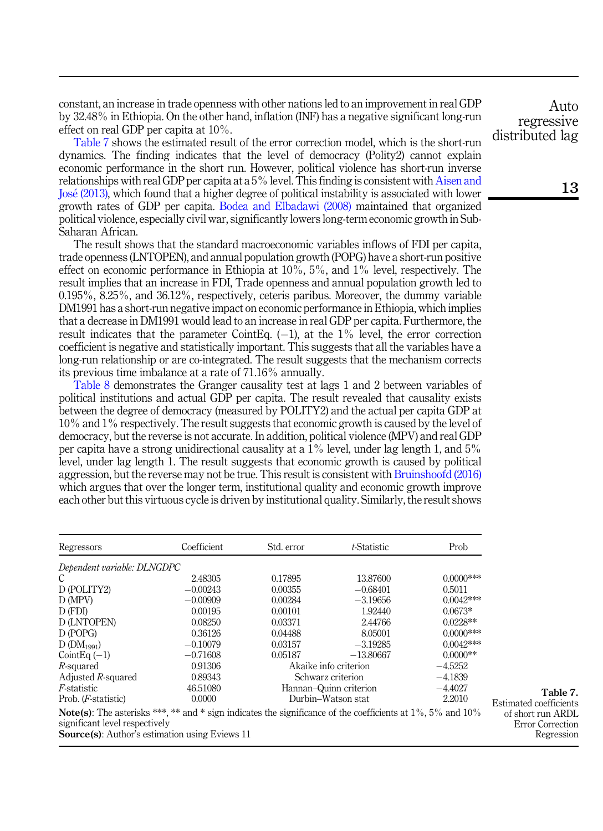constant, an increase in trade openness with other nations led to an improvement in real GDP by 32.48% in Ethiopia. On the other hand, inflation (INF) has a negative significant long-run effect on real GDP per capita at 10%.

Table 7 shows the estimated result of the error correction model, which is the short-run dynamics. The finding indicates that the level of democracy (Polity2) cannot explain economic performance in the short run. However, political violence has short-run inverse relationships with real GDP per capita at a 5% level. This finding is consistent with [Aisen and](#page-13-4) [Jos](#page-13-4)[e \(2013\)](#page-13-4), which found that a higher degree of political instability is associated with lower growth rates of GDP per capita. [Bodea and Elbadawi \(2008\)](#page-13-16) maintained that organized political violence, especially civil war, significantly lowers long-term economic growth in Sub-Saharan African.

The result shows that the standard macroeconomic variables inflows of FDI per capita, trade openness (LNTOPEN), and annual population growth (POPG) have a short-run positive effect on economic performance in Ethiopia at  $10\%$ ,  $5\%$ , and  $1\%$  level, respectively. The result implies that an increase in FDI, Trade openness and annual population growth led to 0.195%, 8.25%, and 36.12%, respectively, ceteris paribus. Moreover, the dummy variable DM1991 has a short-run negative impact on economic performance in Ethiopia, which implies that a decrease in DM1991 would lead to an increase in real GDP per capita. Furthermore, the result indicates that the parameter CointEq.  $(-1)$ , at the 1% level, the error correction coefficient is negative and statistically important. This suggests that all the variables have a long-run relationship or are co-integrated. The result suggests that the mechanism corrects its previous time imbalance at a rate of 71.16% annually.

[Table 8](#page-12-0) demonstrates the Granger causality test at lags 1 and 2 between variables of political institutions and actual GDP per capita. The result revealed that causality exists between the degree of democracy (measured by POLITY2) and the actual per capita GDP at 10% and 1% respectively. The result suggests that economic growth is caused by the level of democracy, but the reverse is not accurate. In addition, political violence (MPV) and real GDP per capita have a strong unidirectional causality at a 1% level, under lag length 1, and 5% level, under lag length 1. The result suggests that economic growth is caused by political aggression, but the reverse may not be true. This result is consistent with [Bruinshoofd \(2016\)](#page-13-19) which argues that over the longer term, institutional quality and economic growth improve each other but this virtuous cycle is driven by institutional quality. Similarly, the result shows

| Regressors                                                                                                                                                                                                          | Coefficient | Std. error | t-Statistic            | Prob         |                                                     |
|---------------------------------------------------------------------------------------------------------------------------------------------------------------------------------------------------------------------|-------------|------------|------------------------|--------------|-----------------------------------------------------|
| Dependent variable: DLNGDPC                                                                                                                                                                                         |             |            |                        |              |                                                     |
| C                                                                                                                                                                                                                   | 2.48305     | 0.17895    | 13.87600               | $0.0000$ *** |                                                     |
| D (POLITY2)                                                                                                                                                                                                         | $-0.00243$  | 0.00355    | $-0.68401$             | 0.5011       |                                                     |
| D (MPV)                                                                                                                                                                                                             | $-0.00909$  | 0.00284    | $-3.19656$             | $0.0042***$  |                                                     |
| D (FDI)                                                                                                                                                                                                             | 0.00195     | 0.00101    | 1.92440                | $0.0673*$    |                                                     |
| D (LNTOPEN)                                                                                                                                                                                                         | 0.08250     | 0.03371    | 2.44766                | $0.0228**$   |                                                     |
| D (POPG)                                                                                                                                                                                                            | 0.36126     | 0.04488    | 8.05001                | $0.0000$ *** |                                                     |
| $D(DM_{1991})$                                                                                                                                                                                                      | $-0.10079$  | 0.03157    | $-3.19285$             | $0.0042***$  |                                                     |
| $CointEq(-1)$                                                                                                                                                                                                       | $-0.71608$  | 0.05187    | $-13.80667$            | $0.0000**$   |                                                     |
| $R$ -squared                                                                                                                                                                                                        | 0.91306     |            | Akaike info criterion  | $-4.5252$    |                                                     |
| Adjusted R-squared                                                                                                                                                                                                  | 0.89343     |            | Schwarz criterion      | $-4.1839$    |                                                     |
| <i>F</i> -statistic                                                                                                                                                                                                 | 46.51080    |            | Hannan-Quinn criterion | $-4.4027$    | Table 7.                                            |
| Prob. ( <i>F</i> -statistic)                                                                                                                                                                                        | 0.0000      |            | Durbin–Watson stat     | 2.2010       | Estimated coefficients                              |
| <b>Note(s):</b> The asterisks ***, ** and * sign indicates the significance of the coefficients at $1\%$ , 5% and $10\%$<br>significant level respectively<br><b>Source(s):</b> Author's estimation using Eviews 11 |             |            |                        |              | of short run ARDL<br>Error Correction<br>Regression |

**Auto** regressive distributed lag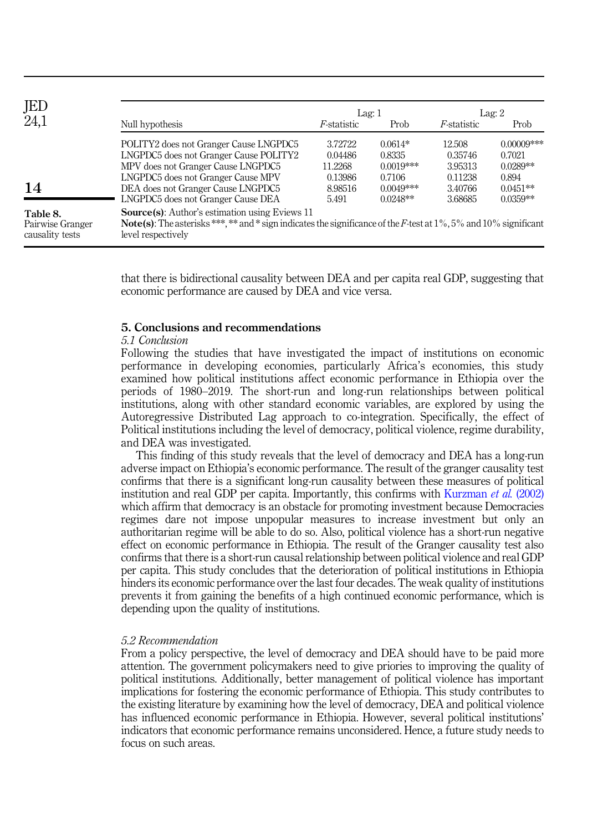<span id="page-12-0"></span>

| JED<br>24,1                                     |                                                                                                                                                                                                               |                     | Lag:1       |                     | Lag: $2$      |  |
|-------------------------------------------------|---------------------------------------------------------------------------------------------------------------------------------------------------------------------------------------------------------------|---------------------|-------------|---------------------|---------------|--|
|                                                 | Null hypothesis                                                                                                                                                                                               | <i>F</i> -statistic | Prob        | <i>F</i> -statistic | Prob          |  |
|                                                 | POLITY2 does not Granger Cause LNGPDC5                                                                                                                                                                        | 3.72722             | $0.0614*$   | 12.508              | $0.00009$ *** |  |
|                                                 | LNGPDC5 does not Granger Cause POLITY2                                                                                                                                                                        | 0.04486             | 0.8335      | 0.35746             | 0.7021        |  |
|                                                 | MPV does not Granger Cause LNGPDC5                                                                                                                                                                            | 11.2268             | $0.0019***$ | 3.95313             | $0.0289**$    |  |
|                                                 | LNGPDC5 does not Granger Cause MPV                                                                                                                                                                            | 0.13986             | 0.7106      | 0.11238             | 0.894         |  |
| 14                                              | DEA does not Granger Cause LNGPDC5                                                                                                                                                                            | 8.98516             | $0.0049***$ | 3.40766             | $0.0451**$    |  |
|                                                 | LNGPDC5 does not Granger Cause DEA                                                                                                                                                                            | 5.491               | $0.0248**$  | 3.68685             | $0.0359**$    |  |
| Table 8.<br>Pairwise Granger<br>causality tests | <b>Source(s):</b> Author's estimation using Eviews 11<br><b>Note(s):</b> The asterisks ***, ** and * sign indicates the significance of the F-test at $1\%$ , 5% and $10\%$ significant<br>level respectively |                     |             |                     |               |  |

that there is bidirectional causality between DEA and per capita real GDP, suggesting that economic performance are caused by DEA and vice versa.

# 5. Conclusions and recommendations

## 5.1 Conclusion

Following the studies that have investigated the impact of institutions on economic performance in developing economies, particularly Africa's economies, this study examined how political institutions affect economic performance in Ethiopia over the periods of 1980–2019. The short-run and long-run relationships between political institutions, along with other standard economic variables, are explored by using the Autoregressive Distributed Lag approach to co-integration. Specifically, the effect of Political institutions including the level of democracy, political violence, regime durability, and DEA was investigated.

This finding of this study reveals that the level of democracy and DEA has a long-run adverse impact on Ethiopia's economic performance. The result of the granger causality test confirms that there is a significant long-run causality between these measures of political institution and real GDP per capita. Importantly, this confirms with [Kurzman](#page-14-7) et al. (2002) which affirm that democracy is an obstacle for promoting investment because Democracies regimes dare not impose unpopular measures to increase investment but only an authoritarian regime will be able to do so. Also, political violence has a short-run negative effect on economic performance in Ethiopia. The result of the Granger causality test also confirms that there is a short-run causal relationship between political violence and real GDP per capita. This study concludes that the deterioration of political institutions in Ethiopia hinders its economic performance over the last four decades. The weak quality of institutions prevents it from gaining the benefits of a high continued economic performance, which is depending upon the quality of institutions.

#### 5.2 Recommendation

From a policy perspective, the level of democracy and DEA should have to be paid more attention. The government policymakers need to give priories to improving the quality of political institutions. Additionally, better management of political violence has important implications for fostering the economic performance of Ethiopia. This study contributes to the existing literature by examining how the level of democracy, DEA and political violence has influenced economic performance in Ethiopia. However, several political institutions' indicators that economic performance remains unconsidered. Hence, a future study needs to focus on such areas.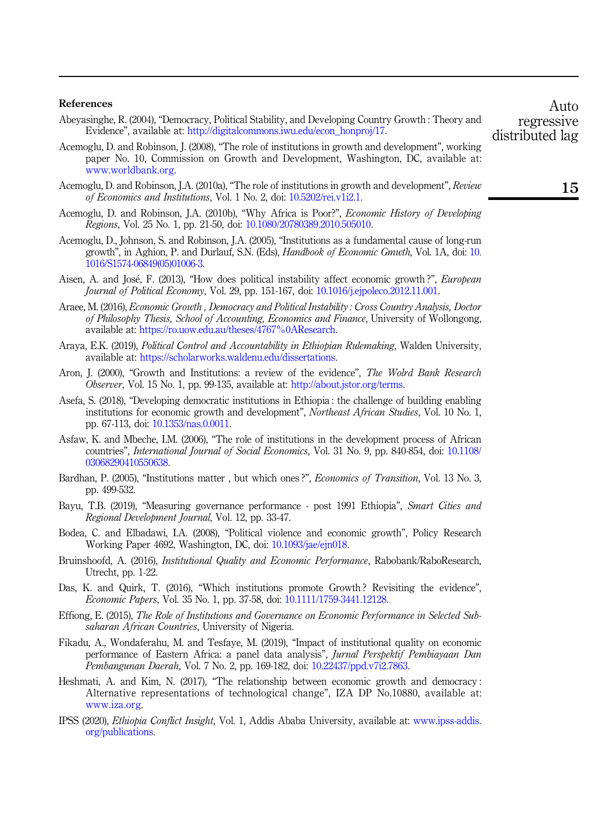#### References

- <span id="page-13-3"></span>Abeyasinghe, R. (2004), "Democracy, Political Stability, and Developing Country Growth : Theory and Evidence", available at: [http://digitalcommons.iwu.edu/econ\\_honproj/17](http://digitalcommons.iwu.edu/econ_honproj/17).
- <span id="page-13-0"></span>Acemoglu, D. and Robinson, J. (2008), "The role of institutions in growth and development", working paper No. 10, Commission on Growth and Development, Washington, DC, available at: [www.worldbank.org.](www.worldbank.org)
- <span id="page-13-13"></span>Acemoglu, D. and Robinson, J.A. (2010a), "The role of institutions in growth and development", Review of Economics and Institutions, Vol. 1 No. 2, doi: [10.5202/rei.v1i2.1](https://doi.org/10.5202/rei.v1i2.1).
- <span id="page-13-14"></span>Acemoglu, D. and Robinson, J.A. (2010b), "Why Africa is Poor?", Economic History of Developing Regions, Vol. 25 No. 1, pp. 21-50, doi: [10.1080/20780389.2010.505010.](https://doi.org/10.1080/20780389.2010.505010)
- <span id="page-13-12"></span>Acemoglu, D., Johnson, S. and Robinson, J.A. (2005), "Institutions as a fundamental cause of long-run growth", in Aghion, P. and Durlauf, S.N. (Eds), Handbook of Economic Gmwth, Vol. 1A, doi: [10.](https://doi.org/10.1016/S1574-06849(05)01006-3) [1016/S1574-06849\(05\)01006-3.](https://doi.org/10.1016/S1574-06849(05)01006-3)
- <span id="page-13-4"></span>Aisen, A. and Jose, F. (2013), "How does political instability affect economic growth ?", European Journal of Political Economy, Vol. 29, pp. 151-167, doi: [10.1016/j.ejpoleco.2012.11.001](https://doi.org/10.1016/j.ejpoleco.2012.11.001).
- <span id="page-13-1"></span>Araee, M. (2016), Economic Growth , Democracy and Political Instability : Cross Country Analysis, Doctor of Philosophy Thesis, School of Accounting, Economics and Finance, University of Wollongong, available at: <https://ro.uow.edu.au/theses/4767%0AResearch>.
- <span id="page-13-8"></span>Araya, E.K. (2019), Political Control and Accountability in Ethiopian Rulemaking, Walden University, available at: [https://scholarworks.waldenu.edu/dissertations.](https://scholarworks.waldenu.edu/dissertations)
- <span id="page-13-11"></span>Aron, J. (2000), "Growth and Institutions: a review of the evidence", The Wolrd Bank Research Observer, Vol. 15 No. 1, pp. 99-135, available at: [http://about.jstor.org/terms.](http://about.jstor.org/terms)
- <span id="page-13-10"></span>Asefa, S. (2018), "Developing democratic institutions in Ethiopia : the challenge of building enabling institutions for economic growth and development", *Northeast African Studies*, Vol. 10 No. 1, pp. 67-113, doi: [10.1353/nas.0.0011.](https://doi.org/10.1353/nas.0.0011)
- <span id="page-13-5"></span>Asfaw, K. and Mbeche, I.M. (2006), "The role of institutions in the development process of African countries", International Journal of Social Economics, Vol. 31 No. 9, pp. 840-854, doi: [10.1108/](https://doi.org/10.1108/03068290410550638) [03068290410550638.](https://doi.org/10.1108/03068290410550638)
- <span id="page-13-18"></span>Bardhan, P. (2005), "Institutions matter, but which ones?", *Economics of Transition*, Vol. 13 No. 3, pp. 499-532.
- <span id="page-13-9"></span>Bayu, T.B. (2019), "Measuring governance performance - post 1991 Ethiopia", Smart Cities and Regional Development Journal, Vol. 12, pp. 33-47.
- <span id="page-13-16"></span>Bodea, C. and Elbadawi, I.A. (2008), "Political violence and economic growth", Policy Research Working Paper 4692, Washington, DC, doi: [10.1093/jae/ejn018](https://doi.org/10.1093/jae/ejn018).
- <span id="page-13-19"></span>Bruinshoofd, A. (2016), *Institutional Quality and Economic Performance*, Rabobank/RaboResearch, Utrecht, pp. 1-22.
- <span id="page-13-15"></span>Das, K. and Quirk, T. (2016), "Which institutions promote Growth ? Revisiting the evidence", Economic Papers, Vol. 35 No. 1, pp. 37-58, doi: [10.1111/1759-3441.12128](https://doi.org/10.1111/1759-3441.12128).
- <span id="page-13-6"></span>Effiong, E. (2015), The Role of Institutions and Governance on Economic Performance in Selected Subsaharan African Countries, University of Nigeria.
- <span id="page-13-7"></span>Fikadu, A., Wondaferahu, M. and Tesfaye, M. (2019), "Impact of institutional quality on economic performance of Eastern Africa: a panel data analysis", Jurnal Perspektif Pembiayaan Dan Pembangunan Daerah, Vol. 7 No. 2, pp. 169-182, doi: [10.22437/ppd.v7i2.7863.](https://doi.org/10.22437/ppd.v7i2.7863)
- <span id="page-13-2"></span>Heshmati, A. and Kim, N. (2017), "The relationship between economic growth and democracy : Alternative representations of technological change", IZA DP No.10880, available at: [www.iza.org.](http://www.iza.org)
- <span id="page-13-17"></span>IPSS (2020), Ethiopia Conflict Insight, Vol. 1, Addis Ababa University, available at: [www.ipss-addis.](http://www.ipss-addis.org/publications) [org/publications.](http://www.ipss-addis.org/publications)

regressive distributed lag

Auto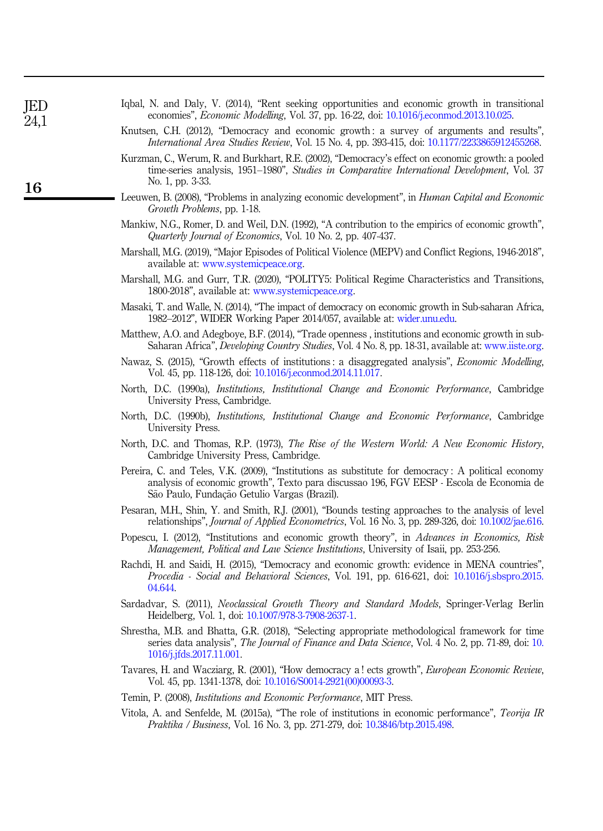<span id="page-14-21"></span><span id="page-14-20"></span><span id="page-14-19"></span><span id="page-14-18"></span><span id="page-14-17"></span><span id="page-14-16"></span><span id="page-14-15"></span><span id="page-14-14"></span><span id="page-14-13"></span><span id="page-14-12"></span><span id="page-14-11"></span><span id="page-14-10"></span><span id="page-14-9"></span><span id="page-14-8"></span><span id="page-14-7"></span><span id="page-14-6"></span><span id="page-14-5"></span><span id="page-14-4"></span><span id="page-14-3"></span><span id="page-14-2"></span><span id="page-14-1"></span><span id="page-14-0"></span>

| JED<br>24,1 | Iqbal, N. and Daly, V. (2014), "Rent seeking opportunities and economic growth in transitional<br>economies", <i>Economic Modelling</i> , Vol. 37, pp. 16-22, doi: 10.1016/j.econmod.2013.10.025.                                              |
|-------------|------------------------------------------------------------------------------------------------------------------------------------------------------------------------------------------------------------------------------------------------|
|             | Knutsen, C.H. (2012), "Democracy and economic growth: a survey of arguments and results",<br><i>International Area Studies Review, Vol. 15 No. 4, pp. 393-415, doi: 10.1177/2233865912455268.</i>                                              |
| 16          | Kurzman, C., Werum, R. and Burkhart, R.E. (2002), "Democracy's effect on economic growth: a pooled<br>time-series analysis, 1951–1980", Studies in Comparative International Development, Vol. 37<br>No. 1, pp. 3-33.                          |
|             | Leeuwen, B. (2008), "Problems in analyzing economic development", in <i>Human Capital and Economic</i><br>Growth Problems, pp. 1-18.                                                                                                           |
|             | Mankiw, N.G., Romer, D. and Weil, D.N. (1992), "A contribution to the empirics of economic growth",<br>Quarterly Journal of Economics, Vol. 10 No. 2, pp. 407-437.                                                                             |
|             | Marshall, M.G. (2019), "Major Episodes of Political Violence (MEPV) and Conflict Regions, 1946-2018",<br>available at: www.systemicpeace.org.                                                                                                  |
|             | Marshall, M.G. and Gurr, T.R. (2020), "POLITY5: Political Regime Characteristics and Transitions,<br>1800-2018", available at: www.systemicpeace.org.                                                                                          |
|             | Masaki, T. and Walle, N. (2014), "The impact of democracy on economic growth in Sub-saharan Africa,<br>1982–2012", WIDER Working Paper 2014/057, available at: wider.unu.edu.                                                                  |
|             | Matthew, A.O. and Adegboye, B.F. (2014), "Trade openness, institutions and economic growth in sub-<br>Saharan Africa", <i>Developing Country Studies</i> , Vol. 4 No. 8, pp. 18-31, available at: www.iiste.org.                               |
|             | Nawaz, S. (2015), "Growth effects of institutions: a disaggregated analysis", <i>Economic Modelling</i> ,<br>Vol. 45, pp. 118-126, doi: 10.1016/j.econmod.2014.11.017.                                                                         |
|             | North, D.C. (1990a), <i>Institutions, Institutional Change and Economic Performance</i> , Cambridge<br>University Press, Cambridge.                                                                                                            |
|             | North, D.C. (1990b), Institutions, Institutional Change and Economic Performance, Cambridge<br>University Press.                                                                                                                               |
|             | North, D.C. and Thomas, R.P. (1973), The Rise of the Western World: A New Economic History,<br>Cambridge University Press, Cambridge.                                                                                                          |
|             | Pereira, C. and Teles, V.K. (2009), "Institutions as substitute for democracy: A political economy<br>analysis of economic growth", Texto para discussao 196, FGV EESP - Escola de Economia de<br>São Paulo, Fundação Getulio Vargas (Brazil). |
|             | Pesaran, M.H., Shin, Y. and Smith, R.J. (2001), "Bounds testing approaches to the analysis of level<br>relationships", <i>Journal of Applied Econometrics</i> , Vol. 16 No. 3, pp. 289-326, doi: 10.1002/jae.616.                              |
|             | Popescu, I. (2012), "Institutions and economic growth theory", in Advances in Economics, Risk<br>Management, Political and Law Science Institutions, University of Isaii, pp. 253-256.                                                         |
|             | Rachdi, H. and Saidi, H. (2015), "Democracy and economic growth: evidence in MENA countries",<br>Procedia - Social and Behavioral Sciences, Vol. 191, pp. 616-621, doi: 10.1016/j.sbspro.2015.<br>04.644.                                      |
|             | Sardadvar, S. (2011), Neoclassical Growth Theory and Standard Models, Springer-Verlag Berlin<br>Heidelberg, Vol. 1, doi: 10.1007/978-3-7908-2637-1.                                                                                            |
|             | Shrestha, M.B. and Bhatta, G.R. (2018), "Selecting appropriate methodological framework for time<br>series data analysis", The Journal of Finance and Data Science, Vol. 4 No. 2, pp. 71-89, doi: 10.<br>1016/j.jfds.2017.11.001.              |
|             | Tavares, H. and Wacziarg, R. (2001), "How democracy a! ects growth", European Economic Review,<br>Vol. 45, pp. 1341-1378, doi: 10.1016/S0014-2921(00)00093-3.                                                                                  |
|             | Temin, P. (2008), Institutions and Economic Performance, MIT Press.                                                                                                                                                                            |
|             | Vitola, A. and Senfelde, M. (2015a), "The role of institutions in economic performance", Teorija IR<br><i>Praktika / Business, Vol. 16 No. 3, pp. 271-279, doi: 10.3846/btp.2015.498.</i>                                                      |
|             |                                                                                                                                                                                                                                                |